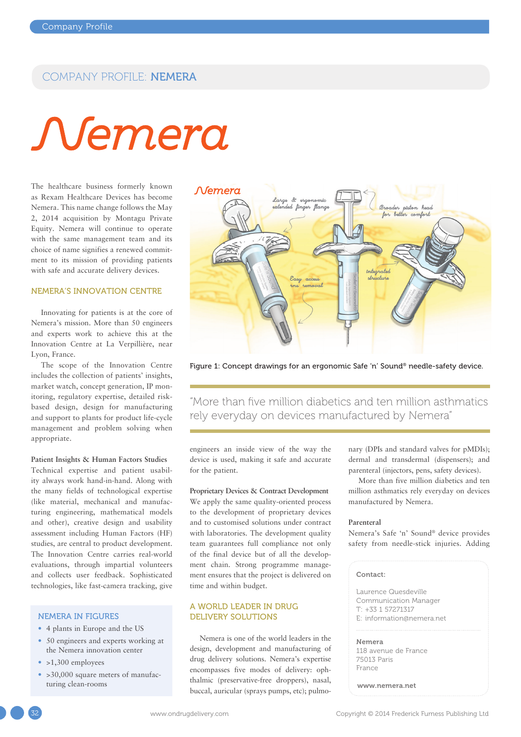## COMPANY PROFILE: NEMERA

# Nemera

The healthcare business formerly known as Rexam Healthcare Devices has become Nemera. This name change follows the May 2, 2014 acquisition by Montagu Private Equity. Nemera will continue to operate with the same management team and its choice of name signifies a renewed commitment to its mission of providing patients with safe and accurate delivery devices.

#### NEMERA'S INNOVATION CENTRE

Innovating for patients is at the core of Nemera's mission. More than 50 engineers and experts work to achieve this at the Innovation Centre at La Verpillière, near Lyon, France.

The scope of the Innovation Centre includes the collection of patients' insights, market watch, concept generation, IP monitoring, regulatory expertise, detailed riskbased design, design for manufacturing and support to plants for product life-cycle management and problem solving when appropriate.

**Patient Insights & Human Factors Studies** Technical expertise and patient usability always work hand-in-hand. Along with the many fields of technological expertise (like material, mechanical and manufacturing engineering, mathematical models and other), creative design and usability assessment including Human Factors (HF) studies, are central to product development. The Innovation Centre carries real-world evaluations, through impartial volunteers and collects user feedback. Sophisticated technologies, like fast-camera tracking, give

#### NEMERA IN FIGURES

- 4 plants in Europe and the US
- 50 engineers and experts working at the Nemera innovation center
- $\cdot$  >1,300 employees
- > 30,000 square meters of manufacturing clean-rooms



Figure 1: Concept drawings for an ergonomic Safe 'n' Sound® needle-safety device.

"More than five million diabetics and ten million asthmatics rely everyday on devices manufactured by Nemera"

engineers an inside view of the way the device is used, making it safe and accurate for the patient.

**Proprietary Devices & Contract Development** We apply the same quality-oriented process to the development of proprietary devices and to customised solutions under contract with laboratories. The development quality team guarantees full compliance not only of the final device but of all the development chain. Strong programme management ensures that the project is delivered on time and within budget.

#### A WORLD LEADER IN DRUG DELIVERY SOLUTIONS

Nemera is one of the world leaders in the design, development and manufacturing of drug delivery solutions. Nemera's expertise encompasses five modes of delivery: ophthalmic (preservative-free droppers), nasal, buccal, auricular (sprays pumps, etc); pulmonary (DPIs and standard valves for pMDIs); dermal and transdermal (dispensers); and parenteral (injectors, pens, safety devices).

More than five million diabetics and ten million asthmatics rely everyday on devices manufactured by Nemera.

#### **Parenteral**

Nemera's Safe 'n' Sound® device provides safety from needle-stick injuries. Adding

#### Contact:

Laurence Quesdeville Communication Manager T: +33 1 57271317 E: information@nemera.net

Nemera

118 avenue de France 75013 Paris France

www.nemera.net